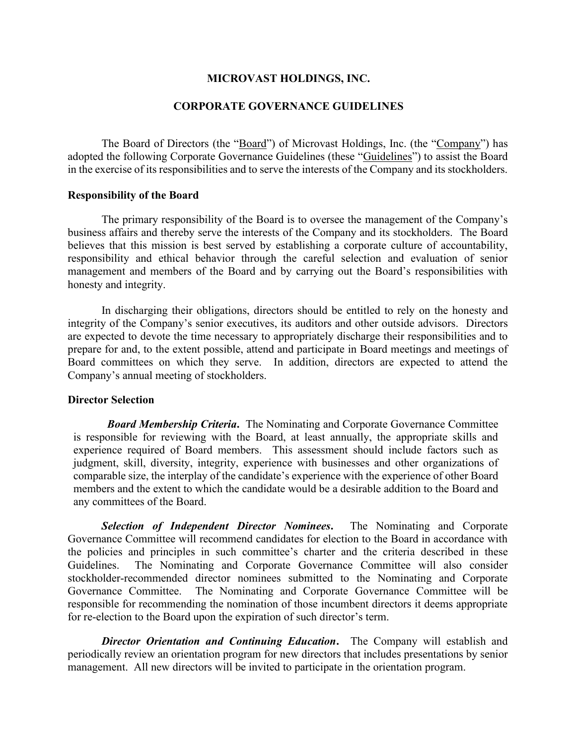## **MICROVAST HOLDINGS, INC.**

### **CORPORATE GOVERNANCE GUIDELINES**

The Board of Directors (the "Board") of Microvast Holdings, Inc. (the "Company") has adopted the following Corporate Governance Guidelines (these "Guidelines") to assist the Board in the exercise of its responsibilities and to serve the interests of the Company and its stockholders.

#### **Responsibility of the Board**

The primary responsibility of the Board is to oversee the management of the Company's business affairs and thereby serve the interests of the Company and its stockholders. The Board believes that this mission is best served by establishing a corporate culture of accountability, responsibility and ethical behavior through the careful selection and evaluation of senior management and members of the Board and by carrying out the Board's responsibilities with honesty and integrity.

In discharging their obligations, directors should be entitled to rely on the honesty and integrity of the Company's senior executives, its auditors and other outside advisors. Directors are expected to devote the time necessary to appropriately discharge their responsibilities and to prepare for and, to the extent possible, attend and participate in Board meetings and meetings of Board committees on which they serve. In addition, directors are expected to attend the Company's annual meeting of stockholders.

### **Director Selection**

*Board Membership Criteria***.** The Nominating and Corporate Governance Committee is responsible for reviewing with the Board, at least annually, the appropriate skills and experience required of Board members. This assessment should include factors such as judgment, skill, diversity, integrity, experience with businesses and other organizations of comparable size, the interplay of the candidate's experience with the experience of other Board members and the extent to which the candidate would be a desirable addition to the Board and any committees of the Board.

*Selection of Independent Director Nominees***.** The Nominating and Corporate Governance Committee will recommend candidates for election to the Board in accordance with the policies and principles in such committee's charter and the criteria described in these Guidelines. The Nominating and Corporate Governance Committee will also consider stockholder-recommended director nominees submitted to the Nominating and Corporate Governance Committee. The Nominating and Corporate Governance Committee will be responsible for recommending the nomination of those incumbent directors it deems appropriate for re-election to the Board upon the expiration of such director's term.

*Director Orientation and Continuing Education***.** The Company will establish and periodically review an orientation program for new directors that includes presentations by senior management. All new directors will be invited to participate in the orientation program.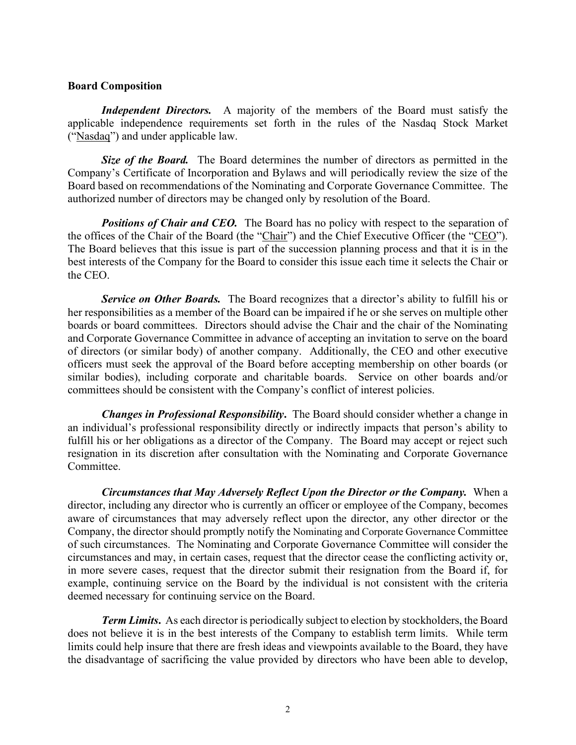## **Board Composition**

*Independent Directors.* A majority of the members of the Board must satisfy the applicable independence requirements set forth in the rules of the Nasdaq Stock Market ("Nasdaq") and under applicable law.

*Size of the Board.* The Board determines the number of directors as permitted in the Company's Certificate of Incorporation and Bylaws and will periodically review the size of the Board based on recommendations of the Nominating and Corporate Governance Committee. The authorized number of directors may be changed only by resolution of the Board.

**Positions of Chair and CEO.** The Board has no policy with respect to the separation of the offices of the Chair of the Board (the "Chair") and the Chief Executive Officer (the "CEO"). The Board believes that this issue is part of the succession planning process and that it is in the best interests of the Company for the Board to consider this issue each time it selects the Chair or the CEO.

**Service on Other Boards.** The Board recognizes that a director's ability to fulfill his or her responsibilities as a member of the Board can be impaired if he or she serves on multiple other boards or board committees. Directors should advise the Chair and the chair of the Nominating and Corporate Governance Committee in advance of accepting an invitation to serve on the board of directors (or similar body) of another company. Additionally, the CEO and other executive officers must seek the approval of the Board before accepting membership on other boards (or similar bodies), including corporate and charitable boards. Service on other boards and/or committees should be consistent with the Company's conflict of interest policies.

*Changes in Professional Responsibility***.** The Board should consider whether a change in an individual's professional responsibility directly or indirectly impacts that person's ability to fulfill his or her obligations as a director of the Company. The Board may accept or reject such resignation in its discretion after consultation with the Nominating and Corporate Governance Committee.

*Circumstances that May Adversely Reflect Upon the Director or the Company.* When a director, including any director who is currently an officer or employee of the Company, becomes aware of circumstances that may adversely reflect upon the director, any other director or the Company, the director should promptly notify the Nominating and Corporate Governance Committee of such circumstances. The Nominating and Corporate Governance Committee will consider the circumstances and may, in certain cases, request that the director cease the conflicting activity or, in more severe cases, request that the director submit their resignation from the Board if, for example, continuing service on the Board by the individual is not consistent with the criteria deemed necessary for continuing service on the Board.

*Term Limits***.** As each director is periodically subject to election by stockholders, the Board does not believe it is in the best interests of the Company to establish term limits. While term limits could help insure that there are fresh ideas and viewpoints available to the Board, they have the disadvantage of sacrificing the value provided by directors who have been able to develop,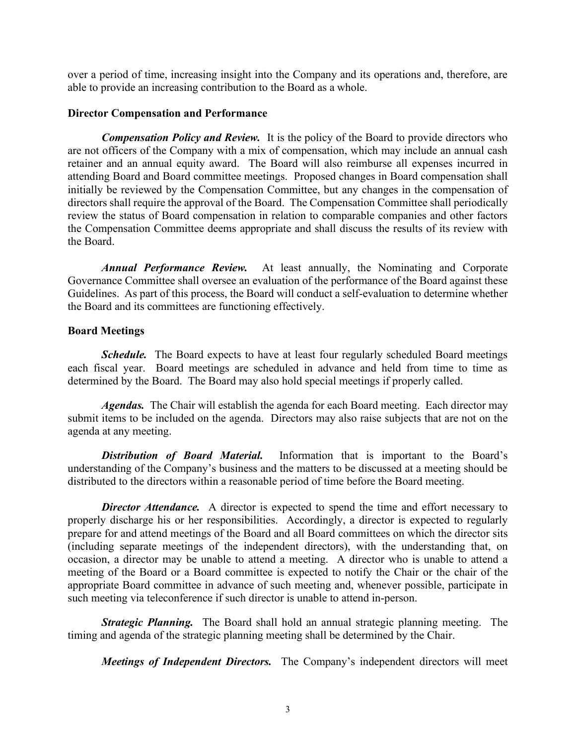over a period of time, increasing insight into the Company and its operations and, therefore, are able to provide an increasing contribution to the Board as a whole.

## **Director Compensation and Performance**

*Compensation Policy and Review.* It is the policy of the Board to provide directors who are not officers of the Company with a mix of compensation, which may include an annual cash retainer and an annual equity award. The Board will also reimburse all expenses incurred in attending Board and Board committee meetings. Proposed changes in Board compensation shall initially be reviewed by the Compensation Committee, but any changes in the compensation of directors shall require the approval of the Board. The Compensation Committee shall periodically review the status of Board compensation in relation to comparable companies and other factors the Compensation Committee deems appropriate and shall discuss the results of its review with the Board.

*Annual Performance Review.* At least annually, the Nominating and Corporate Governance Committee shall oversee an evaluation of the performance of the Board against these Guidelines. As part of this process, the Board will conduct a self-evaluation to determine whether the Board and its committees are functioning effectively.

## **Board Meetings**

*Schedule.* The Board expects to have at least four regularly scheduled Board meetings each fiscal year. Board meetings are scheduled in advance and held from time to time as determined by the Board. The Board may also hold special meetings if properly called.

*Agendas.* The Chair will establish the agenda for each Board meeting. Each director may submit items to be included on the agenda. Directors may also raise subjects that are not on the agenda at any meeting.

*Distribution of Board Material.* Information that is important to the Board's understanding of the Company's business and the matters to be discussed at a meeting should be distributed to the directors within a reasonable period of time before the Board meeting.

**Director Attendance.** A director is expected to spend the time and effort necessary to properly discharge his or her responsibilities. Accordingly, a director is expected to regularly prepare for and attend meetings of the Board and all Board committees on which the director sits (including separate meetings of the independent directors), with the understanding that, on occasion, a director may be unable to attend a meeting. A director who is unable to attend a meeting of the Board or a Board committee is expected to notify the Chair or the chair of the appropriate Board committee in advance of such meeting and, whenever possible, participate in such meeting via teleconference if such director is unable to attend in-person.

*Strategic Planning.* The Board shall hold an annual strategic planning meeting. The timing and agenda of the strategic planning meeting shall be determined by the Chair.

*Meetings of Independent Directors.* The Company's independent directors will meet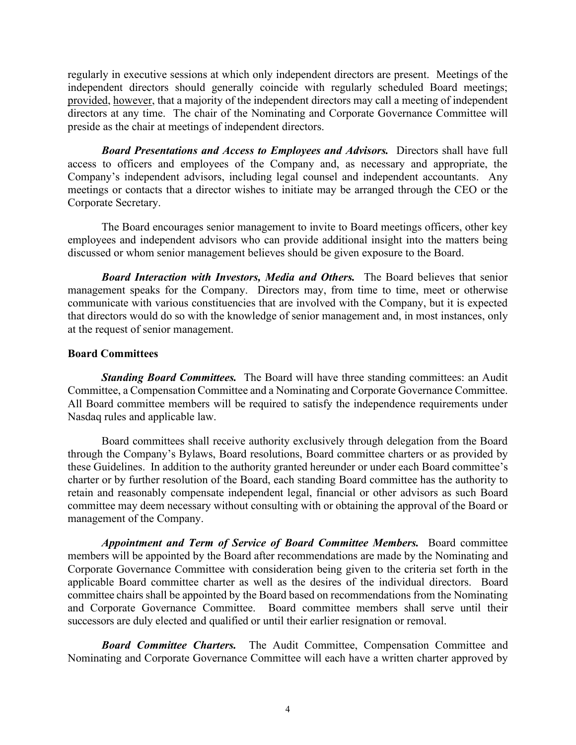regularly in executive sessions at which only independent directors are present. Meetings of the independent directors should generally coincide with regularly scheduled Board meetings; provided, however, that a majority of the independent directors may call a meeting of independent directors at any time. The chair of the Nominating and Corporate Governance Committee will preside as the chair at meetings of independent directors.

*Board Presentations and Access to Employees and Advisors.* Directors shall have full access to officers and employees of the Company and, as necessary and appropriate, the Company's independent advisors, including legal counsel and independent accountants. Any meetings or contacts that a director wishes to initiate may be arranged through the CEO or the Corporate Secretary.

The Board encourages senior management to invite to Board meetings officers, other key employees and independent advisors who can provide additional insight into the matters being discussed or whom senior management believes should be given exposure to the Board.

*Board Interaction with Investors, Media and Others.* The Board believes that senior management speaks for the Company. Directors may, from time to time, meet or otherwise communicate with various constituencies that are involved with the Company, but it is expected that directors would do so with the knowledge of senior management and, in most instances, only at the request of senior management.

## **Board Committees**

*Standing Board Committees.* The Board will have three standing committees: an Audit Committee, a Compensation Committee and a Nominating and Corporate Governance Committee. All Board committee members will be required to satisfy the independence requirements under Nasdaq rules and applicable law.

Board committees shall receive authority exclusively through delegation from the Board through the Company's Bylaws, Board resolutions, Board committee charters or as provided by these Guidelines. In addition to the authority granted hereunder or under each Board committee's charter or by further resolution of the Board, each standing Board committee has the authority to retain and reasonably compensate independent legal, financial or other advisors as such Board committee may deem necessary without consulting with or obtaining the approval of the Board or management of the Company.

*Appointment and Term of Service of Board Committee Members.* Board committee members will be appointed by the Board after recommendations are made by the Nominating and Corporate Governance Committee with consideration being given to the criteria set forth in the applicable Board committee charter as well as the desires of the individual directors. Board committee chairs shall be appointed by the Board based on recommendations from the Nominating and Corporate Governance Committee. Board committee members shall serve until their successors are duly elected and qualified or until their earlier resignation or removal.

*Board Committee Charters.* The Audit Committee, Compensation Committee and Nominating and Corporate Governance Committee will each have a written charter approved by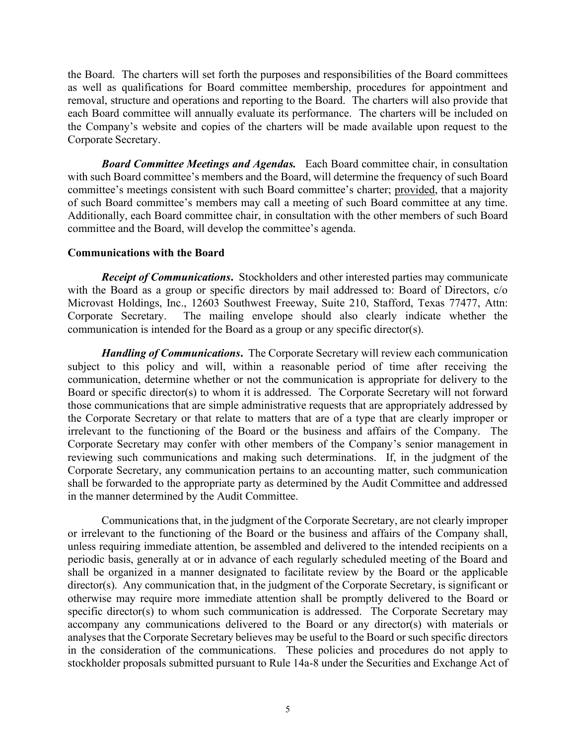the Board. The charters will set forth the purposes and responsibilities of the Board committees as well as qualifications for Board committee membership, procedures for appointment and removal, structure and operations and reporting to the Board. The charters will also provide that each Board committee will annually evaluate its performance. The charters will be included on the Company's website and copies of the charters will be made available upon request to the Corporate Secretary.

*Board Committee Meetings and Agendas.* Each Board committee chair, in consultation with such Board committee's members and the Board, will determine the frequency of such Board committee's meetings consistent with such Board committee's charter; provided, that a majority of such Board committee's members may call a meeting of such Board committee at any time. Additionally, each Board committee chair, in consultation with the other members of such Board committee and the Board, will develop the committee's agenda.

## **Communications with the Board**

*Receipt of Communications***.** Stockholders and other interested parties may communicate with the Board as a group or specific directors by mail addressed to: Board of Directors, c/o Microvast Holdings, Inc., 12603 Southwest Freeway, Suite 210, Stafford, Texas 77477, Attn: Corporate Secretary. The mailing envelope should also clearly indicate whether the communication is intended for the Board as a group or any specific director(s).

*Handling of Communications***.** The Corporate Secretary will review each communication subject to this policy and will, within a reasonable period of time after receiving the communication, determine whether or not the communication is appropriate for delivery to the Board or specific director(s) to whom it is addressed. The Corporate Secretary will not forward those communications that are simple administrative requests that are appropriately addressed by the Corporate Secretary or that relate to matters that are of a type that are clearly improper or irrelevant to the functioning of the Board or the business and affairs of the Company. The Corporate Secretary may confer with other members of the Company's senior management in reviewing such communications and making such determinations. If, in the judgment of the Corporate Secretary, any communication pertains to an accounting matter, such communication shall be forwarded to the appropriate party as determined by the Audit Committee and addressed in the manner determined by the Audit Committee.

Communications that, in the judgment of the Corporate Secretary, are not clearly improper or irrelevant to the functioning of the Board or the business and affairs of the Company shall, unless requiring immediate attention, be assembled and delivered to the intended recipients on a periodic basis, generally at or in advance of each regularly scheduled meeting of the Board and shall be organized in a manner designated to facilitate review by the Board or the applicable director(s). Any communication that, in the judgment of the Corporate Secretary, is significant or otherwise may require more immediate attention shall be promptly delivered to the Board or specific director(s) to whom such communication is addressed. The Corporate Secretary may accompany any communications delivered to the Board or any director(s) with materials or analyses that the Corporate Secretary believes may be useful to the Board or such specific directors in the consideration of the communications. These policies and procedures do not apply to stockholder proposals submitted pursuant to Rule 14a-8 under the Securities and Exchange Act of